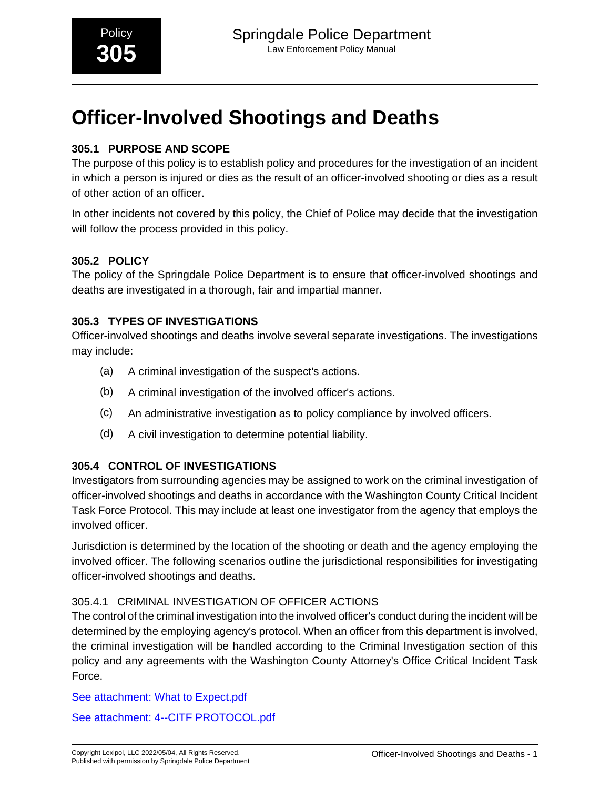## **305.1 PURPOSE AND SCOPE**

The purpose of this policy is to establish policy and procedures for the investigation of an incident in which a person is injured or dies as the result of an officer-involved shooting or dies as a result of other action of an officer.

In other incidents not covered by this policy, the Chief of Police may decide that the investigation will follow the process provided in this policy.

### **305.2 POLICY**

The policy of the Springdale Police Department is to ensure that officer-involved shootings and deaths are investigated in a thorough, fair and impartial manner.

### **305.3 TYPES OF INVESTIGATIONS**

Officer-involved shootings and deaths involve several separate investigations. The investigations may include:

- (a) A criminal investigation of the suspect's actions.
- (b) A criminal investigation of the involved officer's actions.
- (c) An administrative investigation as to policy compliance by involved officers.
- (d) A civil investigation to determine potential liability.

### **305.4 CONTROL OF INVESTIGATIONS**

Investigators from surrounding agencies may be assigned to work on the criminal investigation of officer-involved shootings and deaths in accordance with the Washington County Critical Incident Task Force Protocol. This may include at least one investigator from the agency that employs the involved officer.

Jurisdiction is determined by the location of the shooting or death and the agency employing the involved officer. The following scenarios outline the jurisdictional responsibilities for investigating officer-involved shootings and deaths.

#### 305.4.1 CRIMINAL INVESTIGATION OF OFFICER ACTIONS

The control of the criminal investigation into the involved officer's conduct during the incident will be determined by the employing agency's protocol. When an officer from this department is involved, the criminal investigation will be handled according to the Criminal Investigation section of this policy and any agreements with the Washington County Attorney's Office Critical Incident Task Force.

[See attachment: What to Expect.pdf](#page-10-0)

[See attachment: 4--CITF PROTOCOL.pdf](#page-16-0)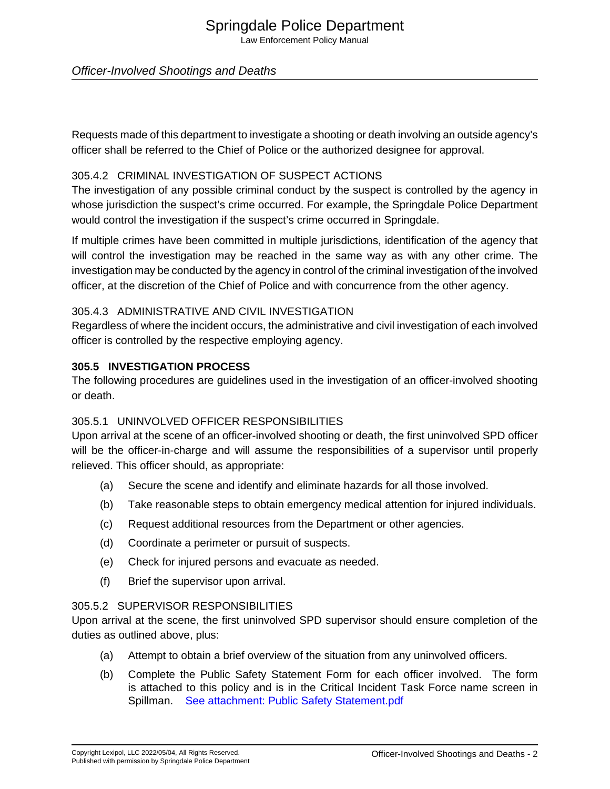# Springdale Police Department

Law Enforcement Policy Manual

#### Officer-Involved Shootings and Deaths

Requests made of this department to investigate a shooting or death involving an outside agency's officer shall be referred to the Chief of Police or the authorized designee for approval.

#### 305.4.2 CRIMINAL INVESTIGATION OF SUSPECT ACTIONS

The investigation of any possible criminal conduct by the suspect is controlled by the agency in whose jurisdiction the suspect's crime occurred. For example, the Springdale Police Department would control the investigation if the suspect's crime occurred in Springdale.

If multiple crimes have been committed in multiple jurisdictions, identification of the agency that will control the investigation may be reached in the same way as with any other crime. The investigation may be conducted by the agency in control of the criminal investigation of the involved officer, at the discretion of the Chief of Police and with concurrence from the other agency.

#### 305.4.3 ADMINISTRATIVE AND CIVIL INVESTIGATION

Regardless of where the incident occurs, the administrative and civil investigation of each involved officer is controlled by the respective employing agency.

#### **305.5 INVESTIGATION PROCESS**

The following procedures are guidelines used in the investigation of an officer-involved shooting or death.

#### 305.5.1 UNINVOLVED OFFICER RESPONSIBILITIES

Upon arrival at the scene of an officer-involved shooting or death, the first uninvolved SPD officer will be the officer-in-charge and will assume the responsibilities of a supervisor until properly relieved. This officer should, as appropriate:

- (a) Secure the scene and identify and eliminate hazards for all those involved.
- (b) Take reasonable steps to obtain emergency medical attention for injured individuals.
- (c) Request additional resources from the Department or other agencies.
- (d) Coordinate a perimeter or pursuit of suspects.
- (e) Check for injured persons and evacuate as needed.
- (f) Brief the supervisor upon arrival.

#### 305.5.2 SUPERVISOR RESPONSIBILITIES

Upon arrival at the scene, the first uninvolved SPD supervisor should ensure completion of the duties as outlined above, plus:

- (a) Attempt to obtain a brief overview of the situation from any uninvolved officers.
- (b) Complete the Public Safety Statement Form for each officer involved. The form is attached to this policy and is in the Critical Incident Task Force name screen in Spillman. [See attachment: Public Safety Statement.pdf](#page-27-0)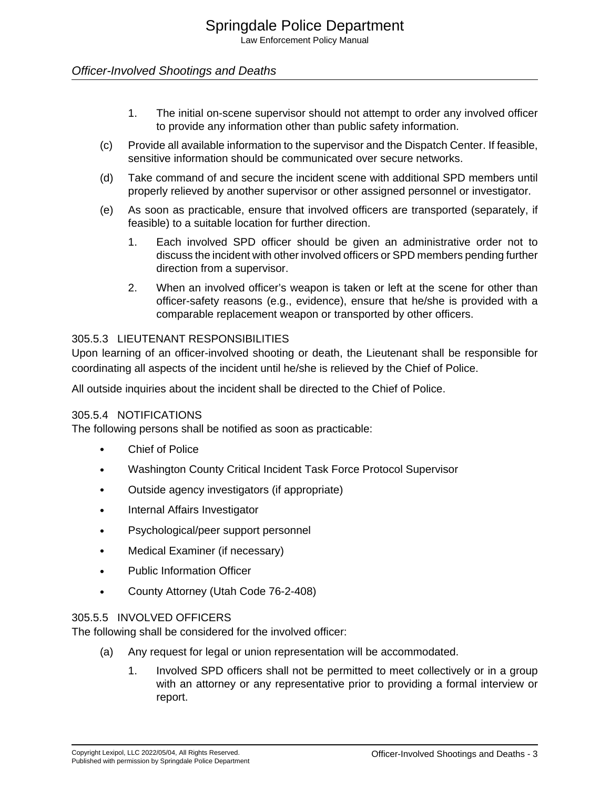- 1. The initial on-scene supervisor should not attempt to order any involved officer to provide any information other than public safety information.
- (c) Provide all available information to the supervisor and the Dispatch Center. If feasible, sensitive information should be communicated over secure networks.
- (d) Take command of and secure the incident scene with additional SPD members until properly relieved by another supervisor or other assigned personnel or investigator.
- (e) As soon as practicable, ensure that involved officers are transported (separately, if feasible) to a suitable location for further direction.
	- 1. Each involved SPD officer should be given an administrative order not to discuss the incident with other involved officers or SPD members pending further direction from a supervisor.
	- 2. When an involved officer's weapon is taken or left at the scene for other than officer-safety reasons (e.g., evidence), ensure that he/she is provided with a comparable replacement weapon or transported by other officers.

#### 305.5.3 LIEUTENANT RESPONSIBILITIES

Upon learning of an officer-involved shooting or death, the Lieutenant shall be responsible for coordinating all aspects of the incident until he/she is relieved by the Chief of Police.

All outside inquiries about the incident shall be directed to the Chief of Police.

#### 305.5.4 NOTIFICATIONS

The following persons shall be notified as soon as practicable:

- Chief of Police
- Washington County Critical Incident Task Force Protocol Supervisor
- Outside agency investigators (if appropriate)
- Internal Affairs Investigator
- Psychological/peer support personnel
- Medical Examiner (if necessary)
- Public Information Officer
- County Attorney (Utah Code 76-2-408)

#### 305.5.5 INVOLVED OFFICERS

The following shall be considered for the involved officer:

- (a) Any request for legal or union representation will be accommodated.
	- 1. Involved SPD officers shall not be permitted to meet collectively or in a group with an attorney or any representative prior to providing a formal interview or report.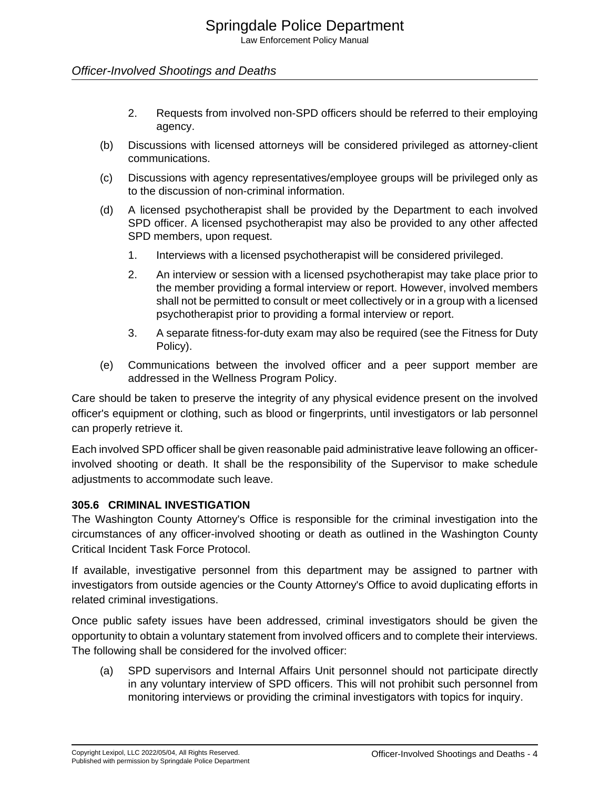- 2. Requests from involved non-SPD officers should be referred to their employing agency.
- (b) Discussions with licensed attorneys will be considered privileged as attorney-client communications.
- (c) Discussions with agency representatives/employee groups will be privileged only as to the discussion of non-criminal information.
- (d) A licensed psychotherapist shall be provided by the Department to each involved SPD officer. A licensed psychotherapist may also be provided to any other affected SPD members, upon request.
	- 1. Interviews with a licensed psychotherapist will be considered privileged.
	- 2. An interview or session with a licensed psychotherapist may take place prior to the member providing a formal interview or report. However, involved members shall not be permitted to consult or meet collectively or in a group with a licensed psychotherapist prior to providing a formal interview or report.
	- 3. A separate fitness-for-duty exam may also be required (see the Fitness for Duty Policy).
- (e) Communications between the involved officer and a peer support member are addressed in the Wellness Program Policy.

Care should be taken to preserve the integrity of any physical evidence present on the involved officer's equipment or clothing, such as blood or fingerprints, until investigators or lab personnel can properly retrieve it.

Each involved SPD officer shall be given reasonable paid administrative leave following an officerinvolved shooting or death. It shall be the responsibility of the Supervisor to make schedule adjustments to accommodate such leave.

#### **305.6 CRIMINAL INVESTIGATION**

The Washington County Attorney's Office is responsible for the criminal investigation into the circumstances of any officer-involved shooting or death as outlined in the Washington County Critical Incident Task Force Protocol.

If available, investigative personnel from this department may be assigned to partner with investigators from outside agencies or the County Attorney's Office to avoid duplicating efforts in related criminal investigations.

Once public safety issues have been addressed, criminal investigators should be given the opportunity to obtain a voluntary statement from involved officers and to complete their interviews. The following shall be considered for the involved officer:

(a) SPD supervisors and Internal Affairs Unit personnel should not participate directly in any voluntary interview of SPD officers. This will not prohibit such personnel from monitoring interviews or providing the criminal investigators with topics for inquiry.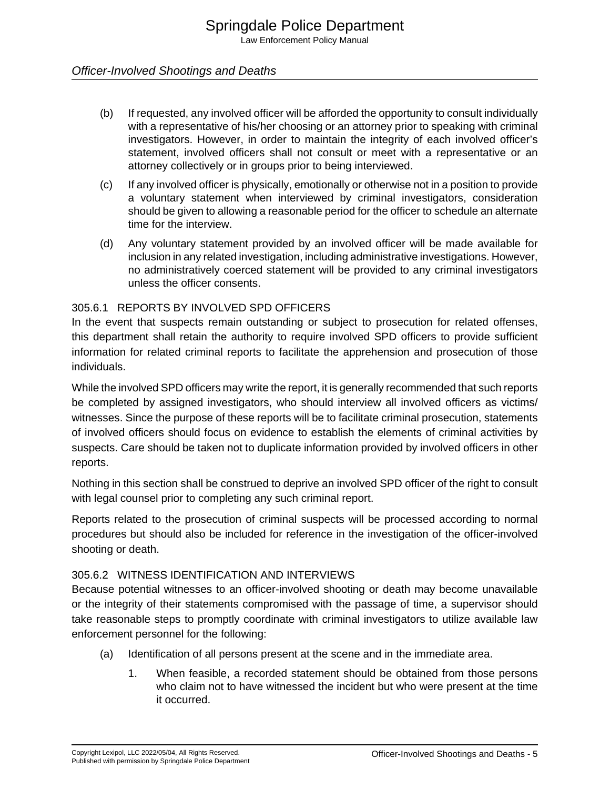- (b) If requested, any involved officer will be afforded the opportunity to consult individually with a representative of his/her choosing or an attorney prior to speaking with criminal investigators. However, in order to maintain the integrity of each involved officer's statement, involved officers shall not consult or meet with a representative or an attorney collectively or in groups prior to being interviewed.
- (c) If any involved officer is physically, emotionally or otherwise not in a position to provide a voluntary statement when interviewed by criminal investigators, consideration should be given to allowing a reasonable period for the officer to schedule an alternate time for the interview.
- (d) Any voluntary statement provided by an involved officer will be made available for inclusion in any related investigation, including administrative investigations. However, no administratively coerced statement will be provided to any criminal investigators unless the officer consents.

#### 305.6.1 REPORTS BY INVOLVED SPD OFFICERS

In the event that suspects remain outstanding or subject to prosecution for related offenses, this department shall retain the authority to require involved SPD officers to provide sufficient information for related criminal reports to facilitate the apprehension and prosecution of those individuals.

While the involved SPD officers may write the report, it is generally recommended that such reports be completed by assigned investigators, who should interview all involved officers as victims/ witnesses. Since the purpose of these reports will be to facilitate criminal prosecution, statements of involved officers should focus on evidence to establish the elements of criminal activities by suspects. Care should be taken not to duplicate information provided by involved officers in other reports.

Nothing in this section shall be construed to deprive an involved SPD officer of the right to consult with legal counsel prior to completing any such criminal report.

Reports related to the prosecution of criminal suspects will be processed according to normal procedures but should also be included for reference in the investigation of the officer-involved shooting or death.

#### 305.6.2 WITNESS IDENTIFICATION AND INTERVIEWS

Because potential witnesses to an officer-involved shooting or death may become unavailable or the integrity of their statements compromised with the passage of time, a supervisor should take reasonable steps to promptly coordinate with criminal investigators to utilize available law enforcement personnel for the following:

- (a) Identification of all persons present at the scene and in the immediate area.
	- 1. When feasible, a recorded statement should be obtained from those persons who claim not to have witnessed the incident but who were present at the time it occurred.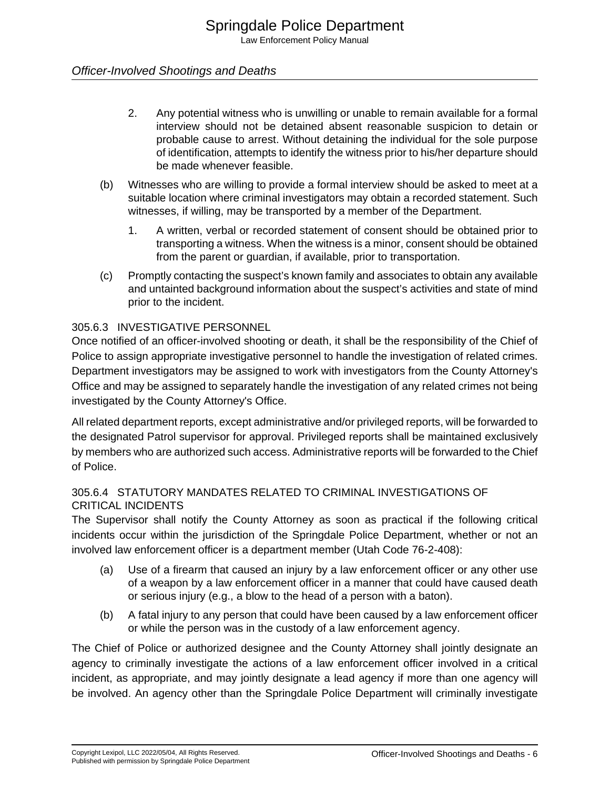- 2. Any potential witness who is unwilling or unable to remain available for a formal interview should not be detained absent reasonable suspicion to detain or probable cause to arrest. Without detaining the individual for the sole purpose of identification, attempts to identify the witness prior to his/her departure should be made whenever feasible.
- (b) Witnesses who are willing to provide a formal interview should be asked to meet at a suitable location where criminal investigators may obtain a recorded statement. Such witnesses, if willing, may be transported by a member of the Department.
	- 1. A written, verbal or recorded statement of consent should be obtained prior to transporting a witness. When the witness is a minor, consent should be obtained from the parent or guardian, if available, prior to transportation.
- (c) Promptly contacting the suspect's known family and associates to obtain any available and untainted background information about the suspect's activities and state of mind prior to the incident.

#### 305.6.3 INVESTIGATIVE PERSONNEL

Once notified of an officer-involved shooting or death, it shall be the responsibility of the Chief of Police to assign appropriate investigative personnel to handle the investigation of related crimes. Department investigators may be assigned to work with investigators from the County Attorney's Office and may be assigned to separately handle the investigation of any related crimes not being investigated by the County Attorney's Office.

All related department reports, except administrative and/or privileged reports, will be forwarded to the designated Patrol supervisor for approval. Privileged reports shall be maintained exclusively by members who are authorized such access. Administrative reports will be forwarded to the Chief of Police.

#### 305.6.4 STATUTORY MANDATES RELATED TO CRIMINAL INVESTIGATIONS OF CRITICAL INCIDENTS

The Supervisor shall notify the County Attorney as soon as practical if the following critical incidents occur within the jurisdiction of the Springdale Police Department, whether or not an involved law enforcement officer is a department member (Utah Code 76-2-408):

- (a) Use of a firearm that caused an injury by a law enforcement officer or any other use of a weapon by a law enforcement officer in a manner that could have caused death or serious injury (e.g., a blow to the head of a person with a baton).
- (b) A fatal injury to any person that could have been caused by a law enforcement officer or while the person was in the custody of a law enforcement agency.

The Chief of Police or authorized designee and the County Attorney shall jointly designate an agency to criminally investigate the actions of a law enforcement officer involved in a critical incident, as appropriate, and may jointly designate a lead agency if more than one agency will be involved. An agency other than the Springdale Police Department will criminally investigate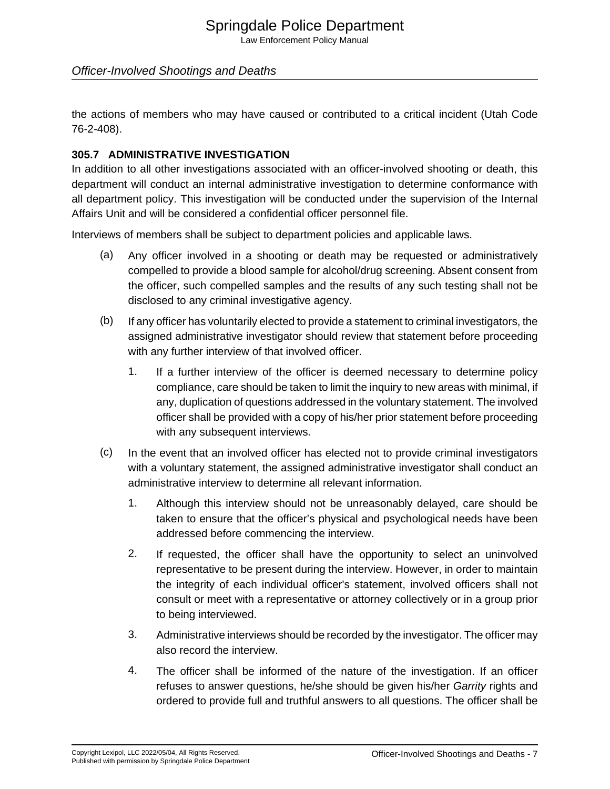# Springdale Police Department

Law Enforcement Policy Manual

#### Officer-Involved Shootings and Deaths

the actions of members who may have caused or contributed to a critical incident (Utah Code 76-2-408).

#### **305.7 ADMINISTRATIVE INVESTIGATION**

In addition to all other investigations associated with an officer-involved shooting or death, this department will conduct an internal administrative investigation to determine conformance with all department policy. This investigation will be conducted under the supervision of the Internal Affairs Unit and will be considered a confidential officer personnel file.

Interviews of members shall be subject to department policies and applicable laws.

- (a) Any officer involved in a shooting or death may be requested or administratively compelled to provide a blood sample for alcohol/drug screening. Absent consent from the officer, such compelled samples and the results of any such testing shall not be disclosed to any criminal investigative agency.
- (b) If any officer has voluntarily elected to provide a statement to criminal investigators, the assigned administrative investigator should review that statement before proceeding with any further interview of that involved officer.
	- 1. If a further interview of the officer is deemed necessary to determine policy compliance, care should be taken to limit the inquiry to new areas with minimal, if any, duplication of questions addressed in the voluntary statement. The involved officer shall be provided with a copy of his/her prior statement before proceeding with any subsequent interviews.
- (c) In the event that an involved officer has elected not to provide criminal investigators with a voluntary statement, the assigned administrative investigator shall conduct an administrative interview to determine all relevant information.
	- 1. Although this interview should not be unreasonably delayed, care should be taken to ensure that the officer's physical and psychological needs have been addressed before commencing the interview.
	- 2. If requested, the officer shall have the opportunity to select an uninvolved representative to be present during the interview. However, in order to maintain the integrity of each individual officer's statement, involved officers shall not consult or meet with a representative or attorney collectively or in a group prior to being interviewed.
	- 3. Administrative interviews should be recorded by the investigator. The officer may also record the interview.
	- 4. The officer shall be informed of the nature of the investigation. If an officer refuses to answer questions, he/she should be given his/her Garrity rights and ordered to provide full and truthful answers to all questions. The officer shall be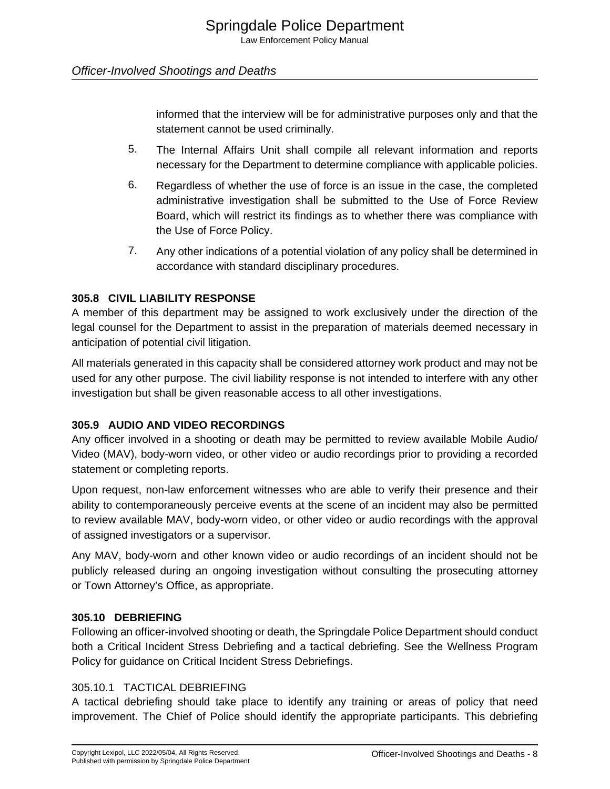informed that the interview will be for administrative purposes only and that the statement cannot be used criminally.

- 5. The Internal Affairs Unit shall compile all relevant information and reports necessary for the Department to determine compliance with applicable policies.
- 6. Regardless of whether the use of force is an issue in the case, the completed administrative investigation shall be submitted to the Use of Force Review Board, which will restrict its findings as to whether there was compliance with the Use of Force Policy.
- 7. Any other indications of a potential violation of any policy shall be determined in accordance with standard disciplinary procedures.

#### **305.8 CIVIL LIABILITY RESPONSE**

A member of this department may be assigned to work exclusively under the direction of the legal counsel for the Department to assist in the preparation of materials deemed necessary in anticipation of potential civil litigation.

All materials generated in this capacity shall be considered attorney work product and may not be used for any other purpose. The civil liability response is not intended to interfere with any other investigation but shall be given reasonable access to all other investigations.

#### **305.9 AUDIO AND VIDEO RECORDINGS**

Any officer involved in a shooting or death may be permitted to review available Mobile Audio/ Video (MAV), body-worn video, or other video or audio recordings prior to providing a recorded statement or completing reports.

Upon request, non-law enforcement witnesses who are able to verify their presence and their ability to contemporaneously perceive events at the scene of an incident may also be permitted to review available MAV, body-worn video, or other video or audio recordings with the approval of assigned investigators or a supervisor.

Any MAV, body-worn and other known video or audio recordings of an incident should not be publicly released during an ongoing investigation without consulting the prosecuting attorney or Town Attorney's Office, as appropriate.

#### **305.10 DEBRIEFING**

Following an officer-involved shooting or death, the Springdale Police Department should conduct both a Critical Incident Stress Debriefing and a tactical debriefing. See the Wellness Program Policy for guidance on Critical Incident Stress Debriefings.

#### 305.10.1 TACTICAL DEBRIEFING

A tactical debriefing should take place to identify any training or areas of policy that need improvement. The Chief of Police should identify the appropriate participants. This debriefing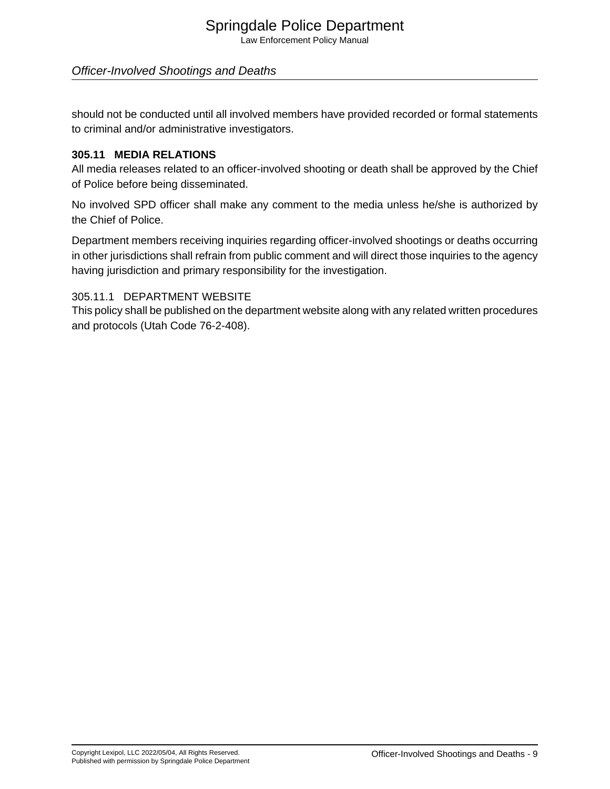# Springdale Police Department

Law Enforcement Policy Manual

### Officer-Involved Shootings and Deaths

should not be conducted until all involved members have provided recorded or formal statements to criminal and/or administrative investigators.

#### **305.11 MEDIA RELATIONS**

All media releases related to an officer-involved shooting or death shall be approved by the Chief of Police before being disseminated.

No involved SPD officer shall make any comment to the media unless he/she is authorized by the Chief of Police.

Department members receiving inquiries regarding officer-involved shootings or deaths occurring in other jurisdictions shall refrain from public comment and will direct those inquiries to the agency having jurisdiction and primary responsibility for the investigation.

#### 305.11.1 DEPARTMENT WEBSITE

This policy shall be published on the department website along with any related written procedures and protocols (Utah Code 76-2-408).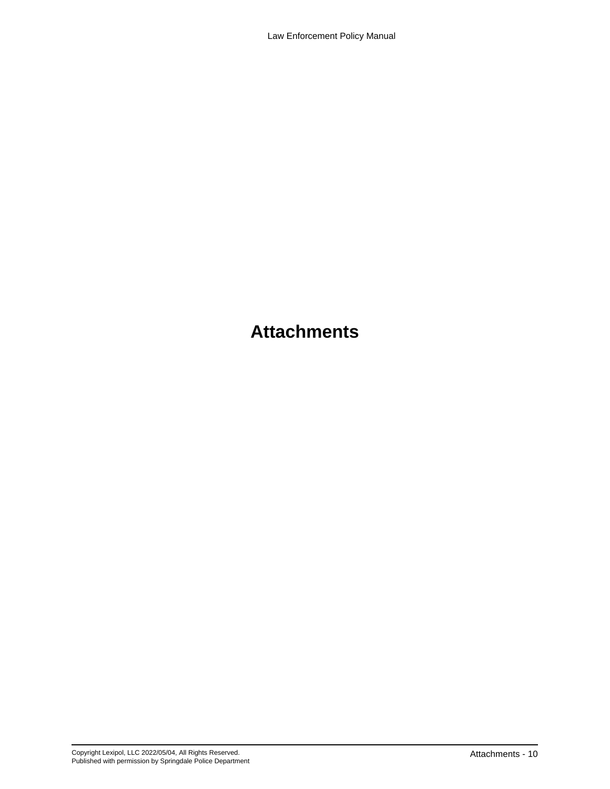# **Attachments**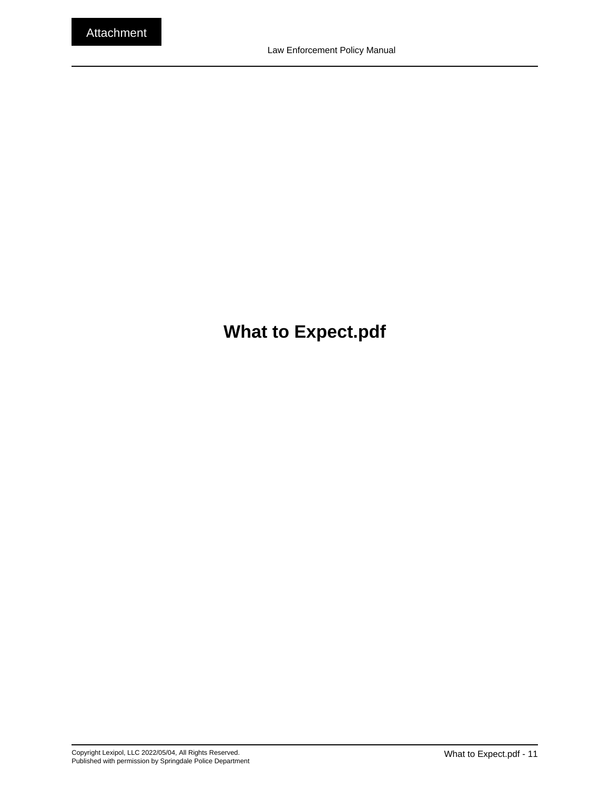# <span id="page-10-0"></span>**What to Expect.pdf**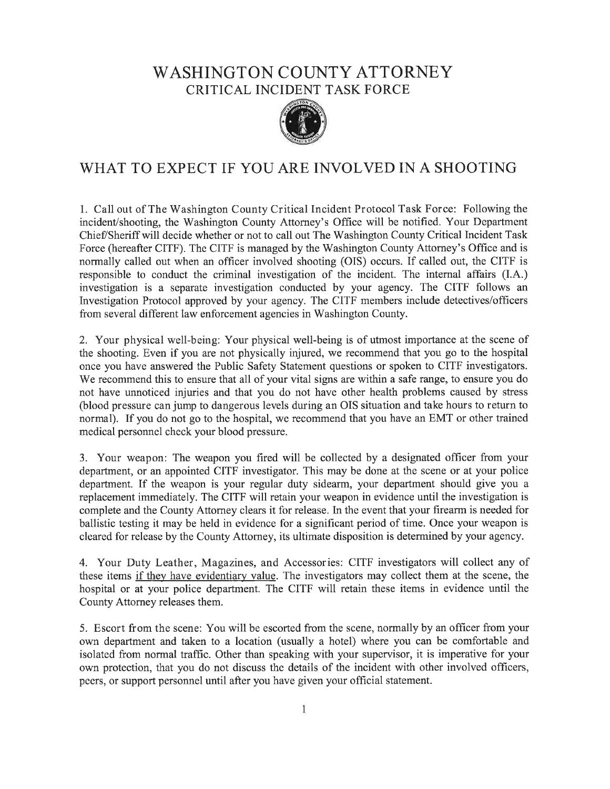## **WASHINGTON COUNTY ATTORNEY CRITICAL INCIDENT TASK FORCE**



## WHAT TO EXPECT IF YOU ARE INVOLVED IN A SHOOTING

1. Call out of The Washington County Critical Incident Protocol Task Force: Following the incident/shooting, the Washington County Attorney's Office will be notified. Your Department Chief/Sheriff will decide whether or not to call out The Washington County Critical Incident Task Force (hereafter CITF). The CITF is managed by the Washington County Attorney's Office and is normally called out when an officer involved shooting (OIS) occurs. If called out, the CITF is responsible to conduct the criminal investigation of the incident. The internal affairs (I.A.) investigation is a separate investigation conducted by your agency. The CITF follows an Investigation Protocol approved by your agency. The CITF members include detectives/officers from several different law enforcement agencies in Washington County.

2. Your physical well-being: Your physical well-being is of utmost importance at the scene of the shooting. Even if you are not physically injured, we recommend that you go to the hospital once you have answered the Public Safety Statement questions or spoken to CITF investigators. We recommend this to ensure that all of your vital signs are within a safe range, to ensure you do not have unnoticed injuries and that you do not have other health problems caused by stress (blood pressure can jump to dangerous levels during an OIS situation and take hours to return to normal). If you do not go to the hospital, we recommend that you have an EMT or other trained medical personnel check your blood pressure.

3. Your weapon: The weapon you fired will be collected by a designated officer from your department, or an appointed CITF investigator. This may be done at the scene or at your police department. If the weapon is your regular duty sidearm, your department should give you a replacement immediately. The CITF will retain your weapon in evidence until the investigation is complete and the County Attorney clears it for release. In the event that your firearm is needed for ballistic testing it may be held in evidence for a significant period of time. Once your weapon is cleared for release by the County Attorney, its ultimate disposition is determined by your agency.

4. Your Duty Leather, Magazines, and Accessories: CITF investigators will collect any of these items if they have evidentiary value. The investigators may collect them at the scene, the hospital or at your police department. The CITF will retain these items in evidence until the County Attorney releases them.

5. Escort from the scene: You will be escorted from the scene, normally by an officer from your own department and taken to a location (usually a hotel) where you can be comfortable and isolated from normal traffic. Other than speaking with your supervisor, it is imperative for your own protection, that you do not discuss the details of the incident with other involved officers, peers, or support personnel until after you have given your official statement.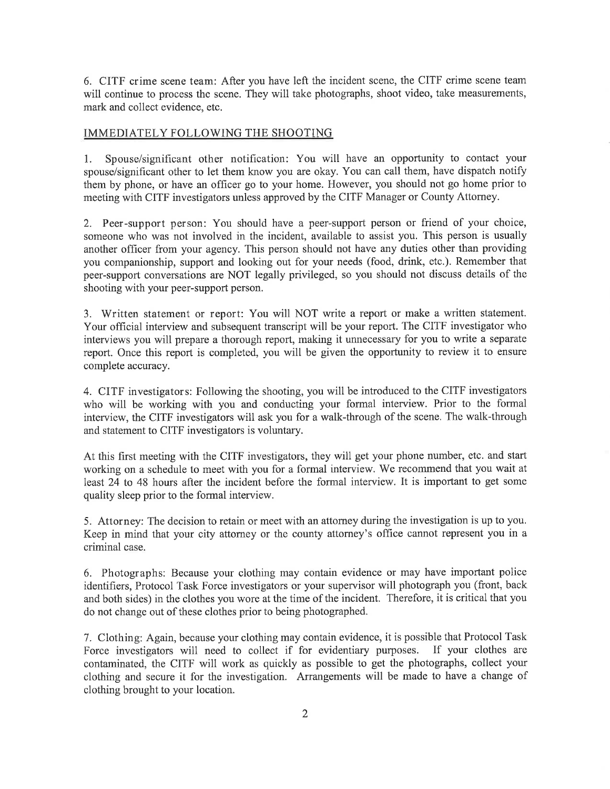6. CITF crime scene team: After you have left the incident scene, the CITF crime scene team will continue to process the scene. They will take photographs, shoot video, take measurements, mark and collect evidence, etc.

#### IMMEDIATELY FOLLOWING THE SHOOTING

Spouse/significant other notification: You will have an opportunity to contact your  $1.$ spouse/significant other to let them know you are okay. You can call them, have dispatch notify them by phone, or have an officer go to your home. However, you should not go home prior to meeting with CITF investigators unless approved by the CITF Manager or County Attorney.

2. Peer-support person: You should have a peer-support person or friend of your choice, someone who was not involved in the incident, available to assist you. This person is usually another officer from your agency. This person should not have any duties other than providing you companionship, support and looking out for your needs (food, drink, etc.). Remember that peer-support conversations are NOT legally privileged, so you should not discuss details of the shooting with your peer-support person.

3. Written statement or report: You will NOT write a report or make a written statement. Your official interview and subsequent transcript will be your report. The CITF investigator who interviews you will prepare a thorough report, making it unnecessary for you to write a separate report. Once this report is completed, you will be given the opportunity to review it to ensure complete accuracy.

4. CITF investigators: Following the shooting, you will be introduced to the CITF investigators who will be working with you and conducting your formal interview. Prior to the formal interview, the CITF investigators will ask you for a walk-through of the scene. The walk-through and statement to CITF investigators is voluntary.

At this first meeting with the CITF investigators, they will get your phone number, etc. and start working on a schedule to meet with you for a formal interview. We recommend that you wait at least 24 to 48 hours after the incident before the formal interview. It is important to get some quality sleep prior to the formal interview.

5. Attorney: The decision to retain or meet with an attorney during the investigation is up to you. Keep in mind that your city attorney or the county attorney's office cannot represent you in a criminal case.

6. Photographs: Because your clothing may contain evidence or may have important police identifiers, Protocol Task Force investigators or your supervisor will photograph you (front, back and both sides) in the clothes you wore at the time of the incident. Therefore, it is critical that you do not change out of these clothes prior to being photographed.

7. Clothing: Again, because your clothing may contain evidence, it is possible that Protocol Task Force investigators will need to collect if for evidentiary purposes. If your clothes are contaminated, the CITF will work as quickly as possible to get the photographs, collect your clothing and secure it for the investigation. Arrangements will be made to have a change of clothing brought to your location.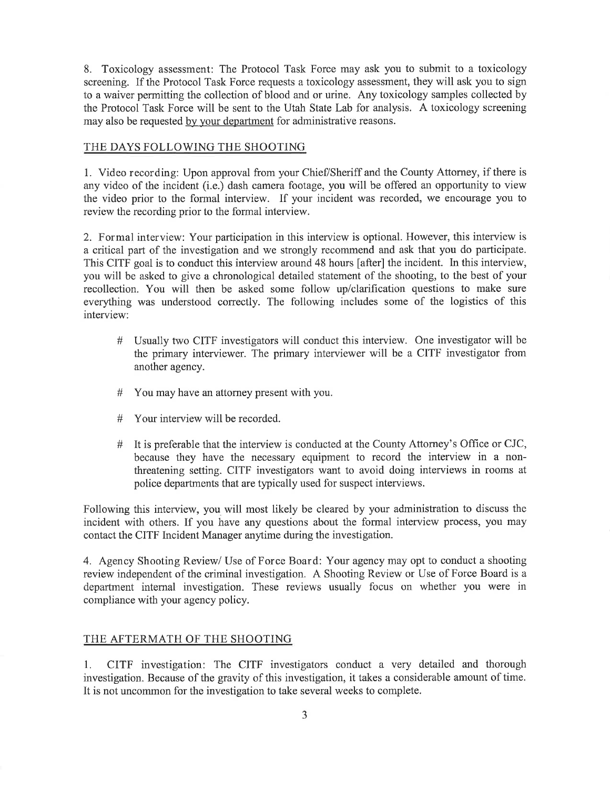8. Toxicology assessment: The Protocol Task Force may ask you to submit to a toxicology screening. If the Protocol Task Force requests a toxicology assessment, they will ask you to sign to a waiver permitting the collection of blood and or urine. Any toxicology samples collected by the Protocol Task Force will be sent to the Utah State Lab for analysis. A toxicology screening may also be requested by your department for administrative reasons.

#### THE DAYS FOLLOWING THE SHOOTING

1. Video recording: Upon approval from your Chief/Sheriff and the County Attorney, if there is any video of the incident (i.e.) dash camera footage, you will be offered an opportunity to view the video prior to the formal interview. If your incident was recorded, we encourage you to review the recording prior to the formal interview.

2. Formal interview: Your participation in this interview is optional. However, this interview is a critical part of the investigation and we strongly recommend and ask that you do participate. This CITF goal is to conduct this interview around 48 hours [after] the incident. In this interview, you will be asked to give a chronological detailed statement of the shooting, to the best of your recollection. You will then be asked some follow up/clarification questions to make sure everything was understood correctly. The following includes some of the logistics of this interview:

- # Usually two CITF investigators will conduct this interview. One investigator will be the primary interviewer. The primary interviewer will be a CITF investigator from another agency.
- You may have an attorney present with you.  $#$
- $#$ Your interview will be recorded.
- # It is preferable that the interview is conducted at the County Attorney's Office or CJC, because they have the necessary equipment to record the interview in a nonthreatening setting. CITF investigators want to avoid doing interviews in rooms at police departments that are typically used for suspect interviews.

Following this interview, you will most likely be cleared by your administration to discuss the incident with others. If you have any questions about the formal interview process, you may contact the CITF Incident Manager anytime during the investigation.

4. Agency Shooting Review/ Use of Force Board: Your agency may opt to conduct a shooting review independent of the criminal investigation. A Shooting Review or Use of Force Board is a department internal investigation. These reviews usually focus on whether you were in compliance with your agency policy.

#### THE AFTERMATH OF THE SHOOTING

CITF investigation: The CITF investigators conduct a very detailed and thorough 1. investigation. Because of the gravity of this investigation, it takes a considerable amount of time. It is not uncommon for the investigation to take several weeks to complete.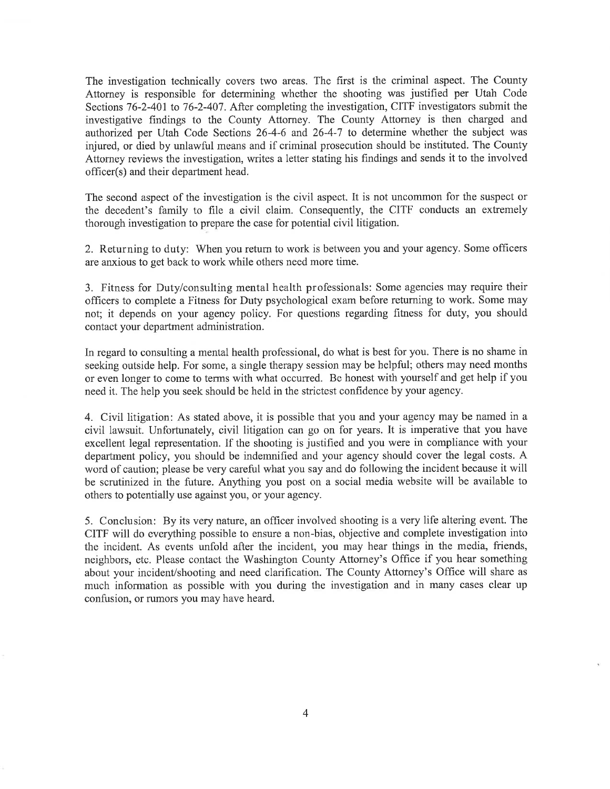The investigation technically covers two areas. The first is the criminal aspect. The County Attorney is responsible for determining whether the shooting was justified per Utah Code Sections 76-2-401 to 76-2-407. After completing the investigation, CITF investigators submit the investigative findings to the County Attorney. The County Attorney is then charged and authorized per Utah Code Sections 26-4-6 and 26-4-7 to determine whether the subject was injured, or died by unlawful means and if criminal prosecution should be instituted. The County Attorney reviews the investigation, writes a letter stating his findings and sends it to the involved officer(s) and their department head.

The second aspect of the investigation is the civil aspect. It is not uncommon for the suspect or the decedent's family to file a civil claim. Consequently, the CITF conducts an extremely thorough investigation to prepare the case for potential civil litigation.

2. Returning to duty: When you return to work is between you and your agency. Some officers are anxious to get back to work while others need more time.

3. Fitness for Duty/consulting mental health professionals: Some agencies may require their officers to complete a Fitness for Duty psychological exam before returning to work. Some may not; it depends on your agency policy. For questions regarding fitness for duty, you should contact your department administration.

In regard to consulting a mental health professional, do what is best for you. There is no shame in seeking outside help. For some, a single therapy session may be helpful; others may need months or even longer to come to terms with what occurred. Be honest with yourself and get help if you need it. The help you seek should be held in the strictest confidence by your agency.

4. Civil litigation: As stated above, it is possible that you and your agency may be named in a civil lawsuit. Unfortunately, civil litigation can go on for years. It is imperative that you have excellent legal representation. If the shooting is justified and you were in compliance with your department policy, you should be indemnified and your agency should cover the legal costs. A word of caution; please be very careful what you say and do following the incident because it will be scrutinized in the future. Anything you post on a social media website will be available to others to potentially use against you, or your agency.

5. Conclusion: By its very nature, an officer involved shooting is a very life altering event. The CITF will do everything possible to ensure a non-bias, objective and complete investigation into the incident. As events unfold after the incident, you may hear things in the media, friends, neighbors, etc. Please contact the Washington County Attorney's Office if you hear something about your incident/shooting and need clarification. The County Attorney's Office will share as much information as possible with you during the investigation and in many cases clear up confusion, or rumors you may have heard.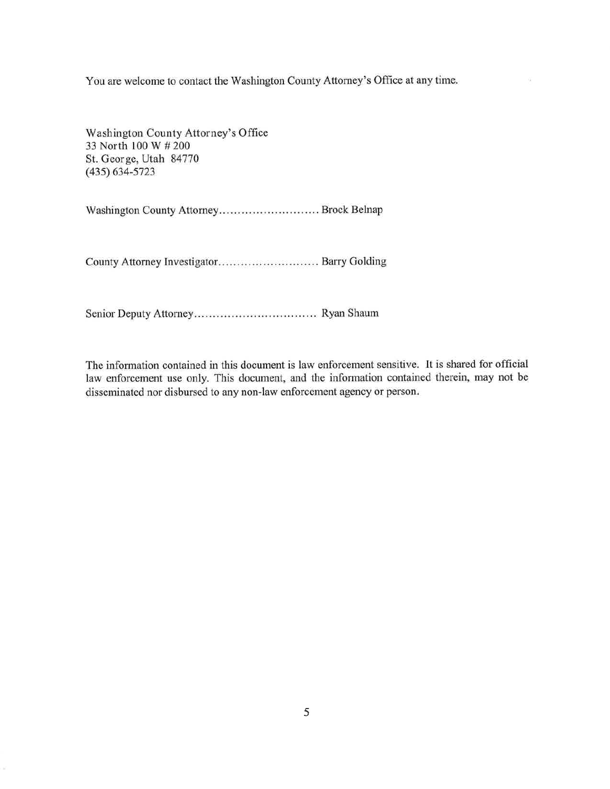You are welcome to contact the Washington County Attorney's Office at any time.

Washington County Attorney's Office 33 North 100 W # 200 St. George, Utah 84770  $(435) 634 - 5723$ 

County Attorney Investigator.............................. Barry Golding

The information contained in this document is law enforcement sensitive. It is shared for official law enforcement use only. This document, and the information contained therein, may not be disseminated nor disbursed to any non-law enforcement agency or person.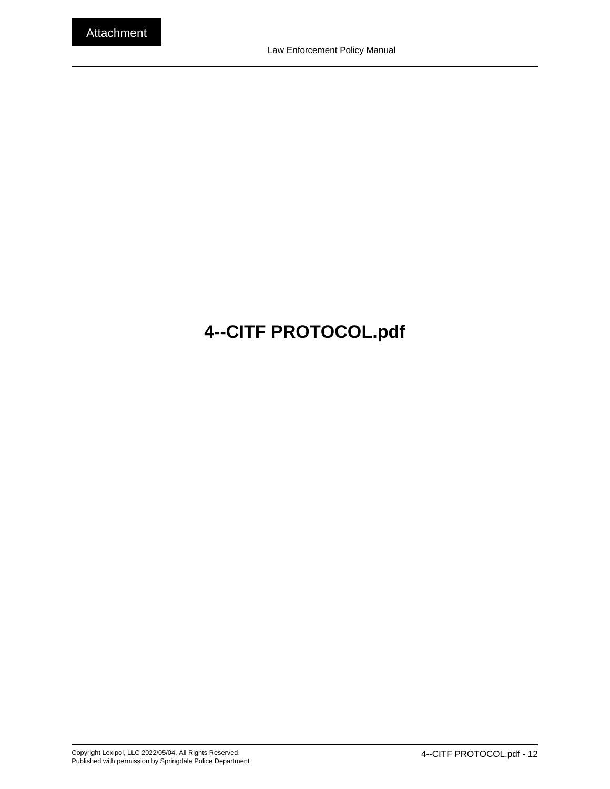# <span id="page-16-0"></span>**4--CITF PROTOCOL.pdf**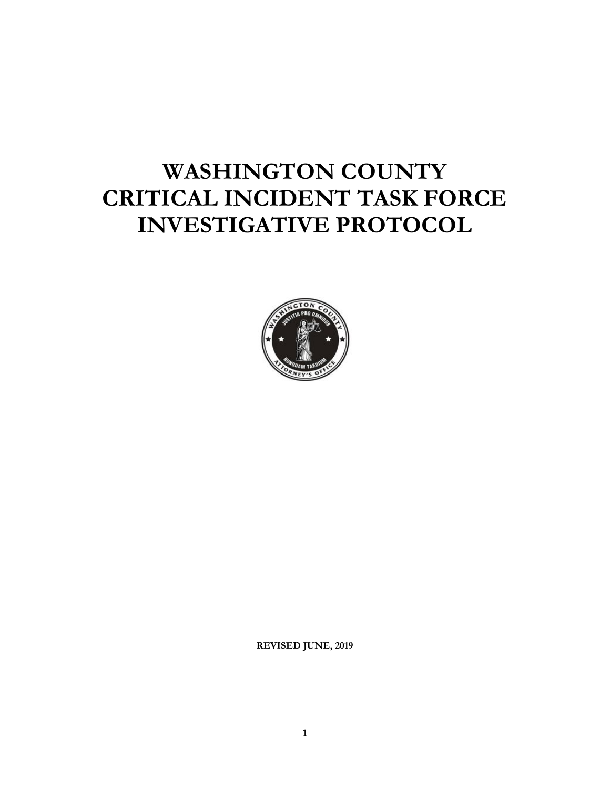# **WASHINGTON COUNTY CRITICAL INCIDENT TASK FORCE INVESTIGATIVE PROTOCOL**



**REVISED JUNE, 2019**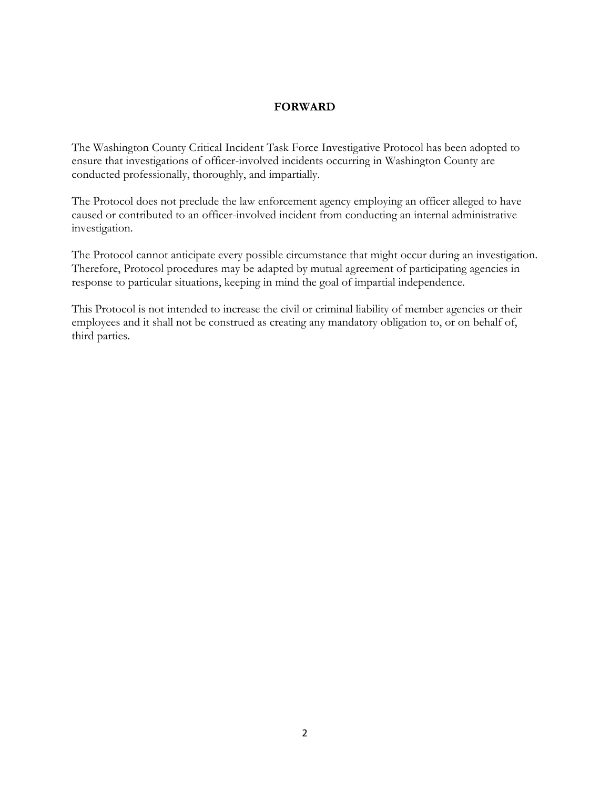#### **FORWARD**

The Washington County Critical Incident Task Force Investigative Protocol has been adopted to ensure that investigations of officer-involved incidents occurring in Washington County are conducted professionally, thoroughly, and impartially.

The Protocol does not preclude the law enforcement agency employing an officer alleged to have caused or contributed to an officer-involved incident from conducting an internal administrative investigation.

The Protocol cannot anticipate every possible circumstance that might occur during an investigation. Therefore, Protocol procedures may be adapted by mutual agreement of participating agencies in response to particular situations, keeping in mind the goal of impartial independence.

This Protocol is not intended to increase the civil or criminal liability of member agencies or their employees and it shall not be construed as creating any mandatory obligation to, or on behalf of, third parties.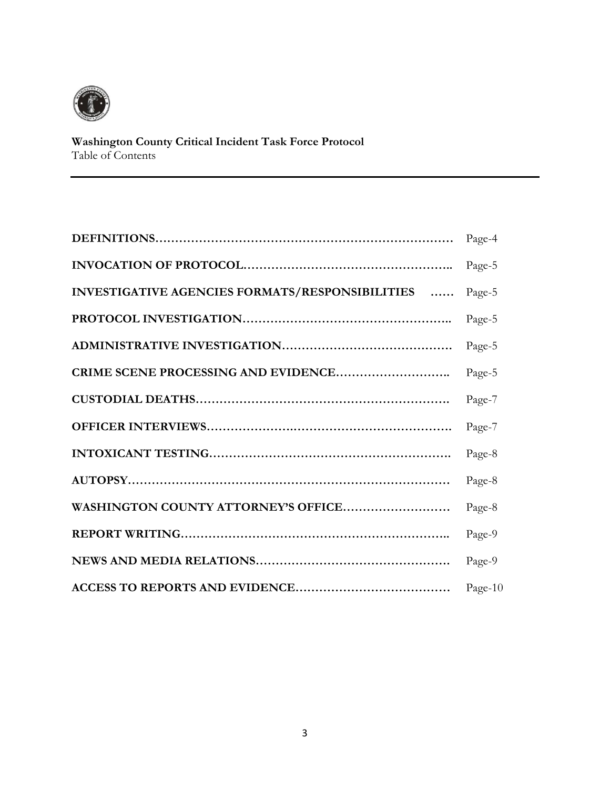

#### **Washington County Critical Incident Task Force Protocol** Table of Contents

|                                                 | Page-4  |
|-------------------------------------------------|---------|
|                                                 | Page-5  |
| INVESTIGATIVE AGENCIES FORMATS/RESPONSIBILITIES | Page-5  |
|                                                 | Page-5  |
|                                                 | Page-5  |
|                                                 | Page-5  |
|                                                 | Page-7  |
|                                                 | Page-7  |
|                                                 | Page-8  |
|                                                 | Page-8  |
| WASHINGTON COUNTY ATTORNEY'S OFFICE             | Page-8  |
|                                                 | Page-9  |
|                                                 | Page-9  |
|                                                 | Page-10 |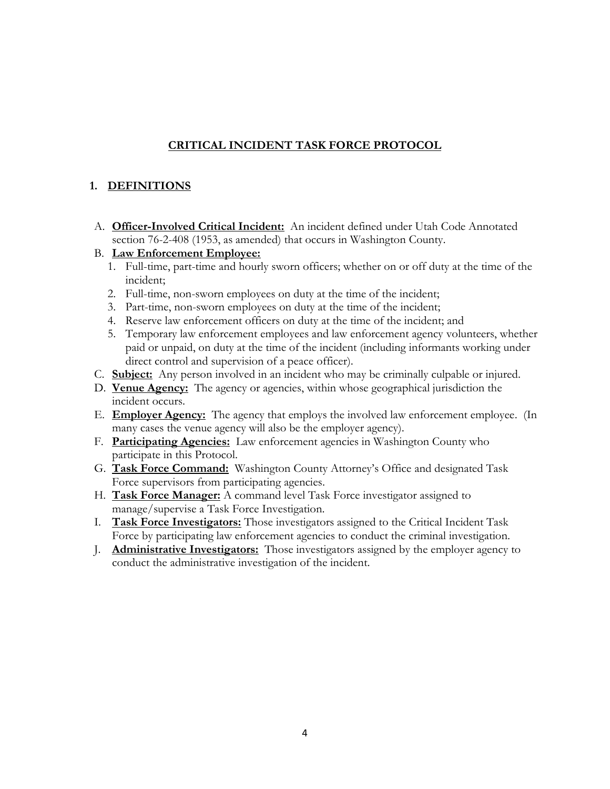## **CRITICAL INCIDENT TASK FORCE PROTOCOL**

## **1. DEFINITIONS**

- A. **Officer-Involved Critical Incident:** An incident defined under Utah Code Annotated section 76-2-408 (1953, as amended) that occurs in Washington County.
- B. **Law Enforcement Employee:**
	- 1. Full-time, part-time and hourly sworn officers; whether on or off duty at the time of the incident;
	- 2. Full-time, non-sworn employees on duty at the time of the incident;
	- 3. Part-time, non-sworn employees on duty at the time of the incident;
	- 4. Reserve law enforcement officers on duty at the time of the incident; and
	- 5. Temporary law enforcement employees and law enforcement agency volunteers, whether paid or unpaid, on duty at the time of the incident (including informants working under direct control and supervision of a peace officer).
- C. **Subject:** Any person involved in an incident who may be criminally culpable or injured.
- D. **Venue Agency:** The agency or agencies, within whose geographical jurisdiction the incident occurs.
- E. **Employer Agency:** The agency that employs the involved law enforcement employee. (In many cases the venue agency will also be the employer agency).
- F. **Participating Agencies:** Law enforcement agencies in Washington County who participate in this Protocol.
- G. **Task Force Command:** Washington County Attorney's Office and designated Task Force supervisors from participating agencies.
- H. **Task Force Manager:** A command level Task Force investigator assigned to manage/supervise a Task Force Investigation.
- I. **Task Force Investigators:** Those investigators assigned to the Critical Incident Task Force by participating law enforcement agencies to conduct the criminal investigation.
- J. **Administrative Investigators:** Those investigators assigned by the employer agency to conduct the administrative investigation of the incident.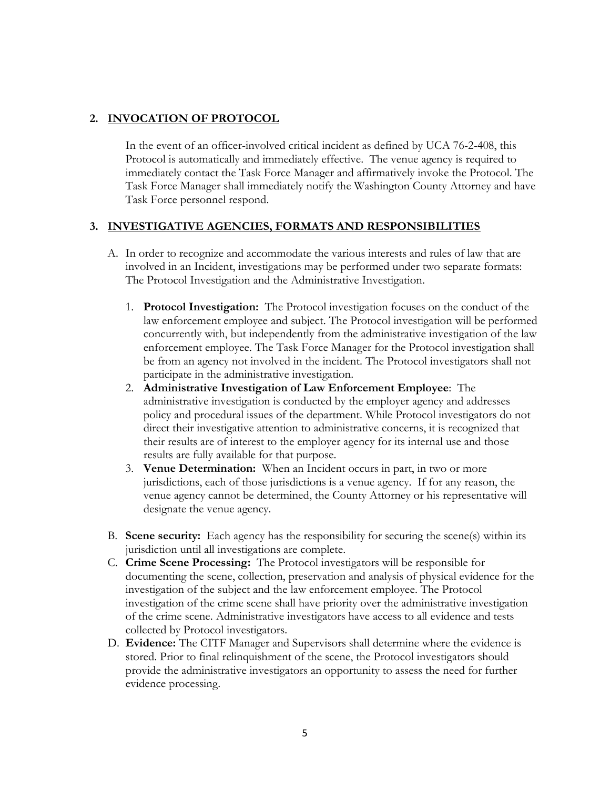#### **2. INVOCATION OF PROTOCOL**

In the event of an officer-involved critical incident as defined by UCA 76-2-408, this Protocol is automatically and immediately effective. The venue agency is required to immediately contact the Task Force Manager and affirmatively invoke the Protocol. The Task Force Manager shall immediately notify the Washington County Attorney and have Task Force personnel respond.

#### **3. INVESTIGATIVE AGENCIES, FORMATS AND RESPONSIBILITIES**

- A. In order to recognize and accommodate the various interests and rules of law that are involved in an Incident, investigations may be performed under two separate formats: The Protocol Investigation and the Administrative Investigation.
	- 1. **Protocol Investigation:** The Protocol investigation focuses on the conduct of the law enforcement employee and subject. The Protocol investigation will be performed concurrently with, but independently from the administrative investigation of the law enforcement employee. The Task Force Manager for the Protocol investigation shall be from an agency not involved in the incident. The Protocol investigators shall not participate in the administrative investigation.
	- 2. **Administrative Investigation of Law Enforcement Employee**: The administrative investigation is conducted by the employer agency and addresses policy and procedural issues of the department. While Protocol investigators do not direct their investigative attention to administrative concerns, it is recognized that their results are of interest to the employer agency for its internal use and those results are fully available for that purpose.
	- 3. **Venue Determination:** When an Incident occurs in part, in two or more jurisdictions, each of those jurisdictions is a venue agency. If for any reason, the venue agency cannot be determined, the County Attorney or his representative will designate the venue agency.
- B. **Scene security:** Each agency has the responsibility for securing the scene(s) within its jurisdiction until all investigations are complete.
- C. **Crime Scene Processing:** The Protocol investigators will be responsible for documenting the scene, collection, preservation and analysis of physical evidence for the investigation of the subject and the law enforcement employee. The Protocol investigation of the crime scene shall have priority over the administrative investigation of the crime scene. Administrative investigators have access to all evidence and tests collected by Protocol investigators.
- D. **Evidence:** The CITF Manager and Supervisors shall determine where the evidence is stored. Prior to final relinquishment of the scene, the Protocol investigators should provide the administrative investigators an opportunity to assess the need for further evidence processing.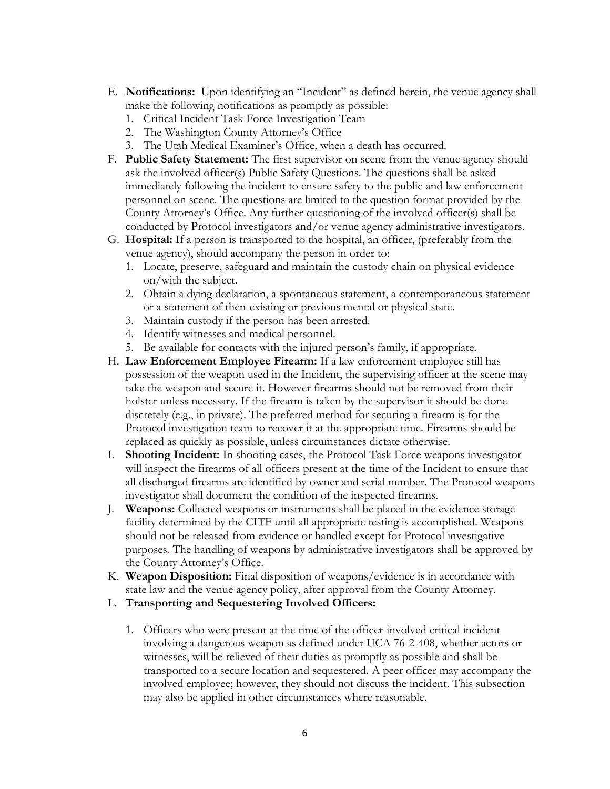- E. **Notifications:** Upon identifying an "Incident" as defined herein, the venue agency shall make the following notifications as promptly as possible:
	- 1. Critical Incident Task Force Investigation Team
	- 2. The Washington County Attorney's Office
	- 3. The Utah Medical Examiner's Office, when a death has occurred.
- F. **Public Safety Statement:** The first supervisor on scene from the venue agency should ask the involved officer(s) Public Safety Questions. The questions shall be asked immediately following the incident to ensure safety to the public and law enforcement personnel on scene. The questions are limited to the question format provided by the County Attorney's Office. Any further questioning of the involved officer(s) shall be conducted by Protocol investigators and/or venue agency administrative investigators.
- G. **Hospital:** If a person is transported to the hospital, an officer, (preferably from the venue agency), should accompany the person in order to:
	- 1. Locate, preserve, safeguard and maintain the custody chain on physical evidence on/with the subject.
	- 2. Obtain a dying declaration, a spontaneous statement, a contemporaneous statement or a statement of then-existing or previous mental or physical state.
	- 3. Maintain custody if the person has been arrested.
	- 4. Identify witnesses and medical personnel.
	- 5. Be available for contacts with the injured person's family, if appropriate.
- H. **Law Enforcement Employee Firearm:** If a law enforcement employee still has possession of the weapon used in the Incident, the supervising officer at the scene may take the weapon and secure it. However firearms should not be removed from their holster unless necessary. If the firearm is taken by the supervisor it should be done discretely (e.g., in private). The preferred method for securing a firearm is for the Protocol investigation team to recover it at the appropriate time. Firearms should be replaced as quickly as possible, unless circumstances dictate otherwise.
- I. **Shooting Incident:** In shooting cases, the Protocol Task Force weapons investigator will inspect the firearms of all officers present at the time of the Incident to ensure that all discharged firearms are identified by owner and serial number. The Protocol weapons investigator shall document the condition of the inspected firearms.
- J. **Weapons:** Collected weapons or instruments shall be placed in the evidence storage facility determined by the CITF until all appropriate testing is accomplished. Weapons should not be released from evidence or handled except for Protocol investigative purposes. The handling of weapons by administrative investigators shall be approved by the County Attorney's Office.
- K. **Weapon Disposition:** Final disposition of weapons/evidence is in accordance with state law and the venue agency policy, after approval from the County Attorney.
- L. **Transporting and Sequestering Involved Officers:**
	- 1. Officers who were present at the time of the officer-involved critical incident involving a dangerous weapon as defined under UCA 76-2-408, whether actors or witnesses, will be relieved of their duties as promptly as possible and shall be transported to a secure location and sequestered. A peer officer may accompany the involved employee; however, they should not discuss the incident. This subsection may also be applied in other circumstances where reasonable.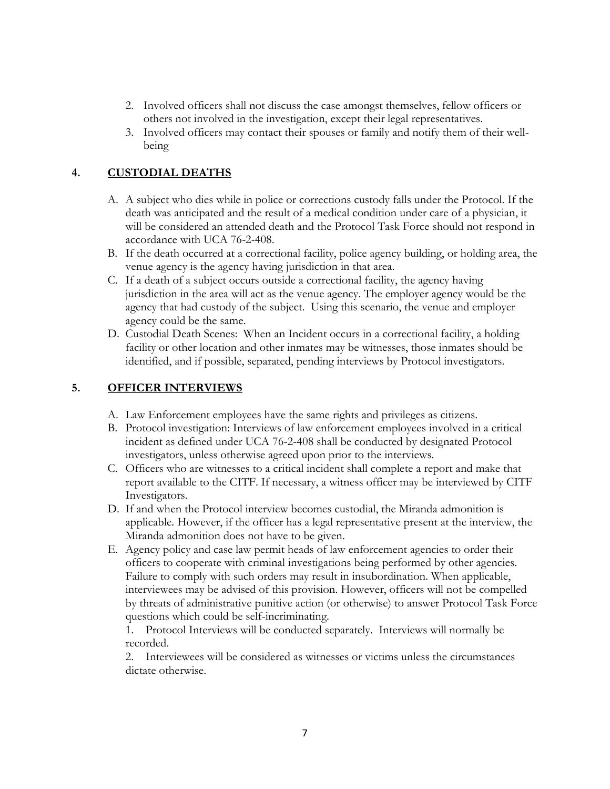- 2. Involved officers shall not discuss the case amongst themselves, fellow officers or others not involved in the investigation, except their legal representatives.
- 3. Involved officers may contact their spouses or family and notify them of their wellbeing

### **4. CUSTODIAL DEATHS**

- A. A subject who dies while in police or corrections custody falls under the Protocol. If the death was anticipated and the result of a medical condition under care of a physician, it will be considered an attended death and the Protocol Task Force should not respond in accordance with UCA 76-2-408.
- B. If the death occurred at a correctional facility, police agency building, or holding area, the venue agency is the agency having jurisdiction in that area.
- C. If a death of a subject occurs outside a correctional facility, the agency having jurisdiction in the area will act as the venue agency. The employer agency would be the agency that had custody of the subject. Using this scenario, the venue and employer agency could be the same.
- D. Custodial Death Scenes: When an Incident occurs in a correctional facility, a holding facility or other location and other inmates may be witnesses, those inmates should be identified, and if possible, separated, pending interviews by Protocol investigators.

#### **5. OFFICER INTERVIEWS**

- A. Law Enforcement employees have the same rights and privileges as citizens.
- B. Protocol investigation: Interviews of law enforcement employees involved in a critical incident as defined under UCA 76-2-408 shall be conducted by designated Protocol investigators, unless otherwise agreed upon prior to the interviews.
- C. Officers who are witnesses to a critical incident shall complete a report and make that report available to the CITF. If necessary, a witness officer may be interviewed by CITF Investigators.
- D. If and when the Protocol interview becomes custodial, the Miranda admonition is applicable. However, if the officer has a legal representative present at the interview, the Miranda admonition does not have to be given.
- E. Agency policy and case law permit heads of law enforcement agencies to order their officers to cooperate with criminal investigations being performed by other agencies. Failure to comply with such orders may result in insubordination. When applicable, interviewees may be advised of this provision. However, officers will not be compelled by threats of administrative punitive action (or otherwise) to answer Protocol Task Force questions which could be self-incriminating.

1. Protocol Interviews will be conducted separately. Interviews will normally be recorded.

2. Interviewees will be considered as witnesses or victims unless the circumstances dictate otherwise.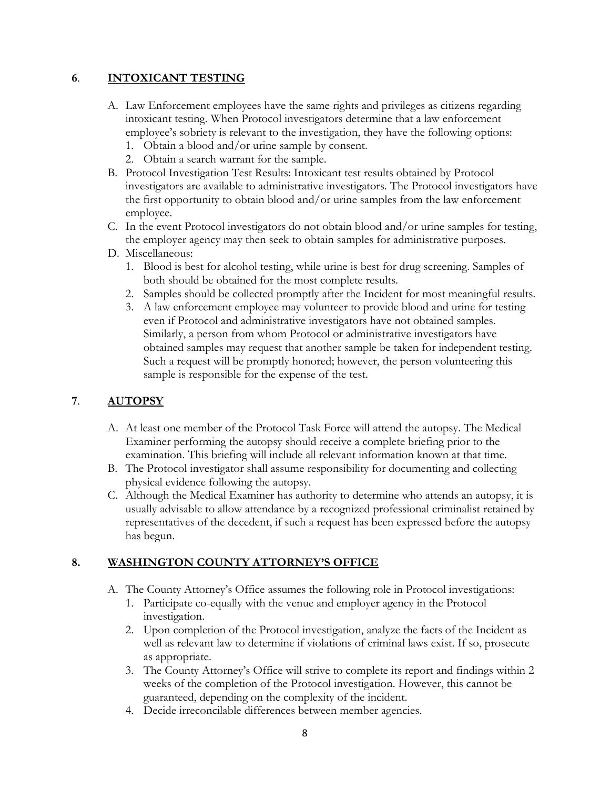#### **6**. **INTOXICANT TESTING**

- A. Law Enforcement employees have the same rights and privileges as citizens regarding intoxicant testing. When Protocol investigators determine that a law enforcement employee's sobriety is relevant to the investigation, they have the following options:
	- 1. Obtain a blood and/or urine sample by consent.
	- 2. Obtain a search warrant for the sample.
- B. Protocol Investigation Test Results: Intoxicant test results obtained by Protocol investigators are available to administrative investigators. The Protocol investigators have the first opportunity to obtain blood and/or urine samples from the law enforcement employee.
- C. In the event Protocol investigators do not obtain blood and/or urine samples for testing, the employer agency may then seek to obtain samples for administrative purposes.
- D. Miscellaneous:
	- 1. Blood is best for alcohol testing, while urine is best for drug screening. Samples of both should be obtained for the most complete results.
	- 2. Samples should be collected promptly after the Incident for most meaningful results.
	- 3. A law enforcement employee may volunteer to provide blood and urine for testing even if Protocol and administrative investigators have not obtained samples. Similarly, a person from whom Protocol or administrative investigators have obtained samples may request that another sample be taken for independent testing. Such a request will be promptly honored; however, the person volunteering this sample is responsible for the expense of the test.

#### **7**. **AUTOPSY**

- A. At least one member of the Protocol Task Force will attend the autopsy. The Medical Examiner performing the autopsy should receive a complete briefing prior to the examination. This briefing will include all relevant information known at that time.
- B. The Protocol investigator shall assume responsibility for documenting and collecting physical evidence following the autopsy.
- C. Although the Medical Examiner has authority to determine who attends an autopsy, it is usually advisable to allow attendance by a recognized professional criminalist retained by representatives of the decedent, if such a request has been expressed before the autopsy has begun.

#### **8. WASHINGTON COUNTY ATTORNEY'S OFFICE**

- A. The County Attorney's Office assumes the following role in Protocol investigations:
	- 1. Participate co-equally with the venue and employer agency in the Protocol investigation.
	- 2. Upon completion of the Protocol investigation, analyze the facts of the Incident as well as relevant law to determine if violations of criminal laws exist. If so, prosecute as appropriate.
	- 3. The County Attorney's Office will strive to complete its report and findings within 2 weeks of the completion of the Protocol investigation. However, this cannot be guaranteed, depending on the complexity of the incident.
	- 4. Decide irreconcilable differences between member agencies.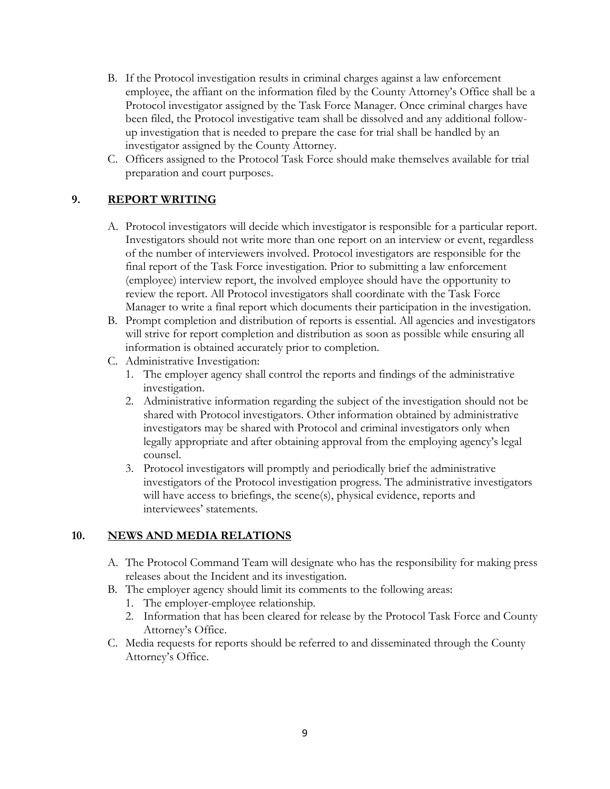- B. If the Protocol investigation results in criminal charges against a law enforcement employee, the affiant on the information filed by the County Attorney's Office shall be a Protocol investigator assigned by the Task Force Manager. Once criminal charges have been filed, the Protocol investigative team shall be dissolved and any additional followup investigation that is needed to prepare the case for trial shall be handled by an investigator assigned by the County Attorney.
- C. Officers assigned to the Protocol Task Force should make themselves available for trial preparation and court purposes.

#### **9. REPORT WRITING**

- A. Protocol investigators will decide which investigator is responsible for a particular report. Investigators should not write more than one report on an interview or event, regardless of the number of interviewers involved. Protocol investigators are responsible for the final report of the Task Force investigation. Prior to submitting a law enforcement (employee) interview report, the involved employee should have the opportunity to review the report. All Protocol investigators shall coordinate with the Task Force Manager to write a final report which documents their participation in the investigation.
- B. Prompt completion and distribution of reports is essential. All agencies and investigators will strive for report completion and distribution as soon as possible while ensuring all information is obtained accurately prior to completion.
- C. Administrative Investigation:
	- 1. The employer agency shall control the reports and findings of the administrative investigation.
	- 2. Administrative information regarding the subject of the investigation should not be shared with Protocol investigators. Other information obtained by administrative investigators may be shared with Protocol and criminal investigators only when legally appropriate and after obtaining approval from the employing agency's legal counsel.
	- 3. Protocol investigators will promptly and periodically brief the administrative investigators of the Protocol investigation progress. The administrative investigators will have access to briefings, the scene(s), physical evidence, reports and interviewees' statements.

#### **10. NEWS AND MEDIA RELATIONS**

- A. The Protocol Command Team will designate who has the responsibility for making press releases about the Incident and its investigation.
- B. The employer agency should limit its comments to the following areas:
	- 1. The employer-employee relationship.
	- 2. Information that has been cleared for release by the Protocol Task Force and County Attorney's Office.
- C. Media requests for reports should be referred to and disseminated through the County Attorney's Office.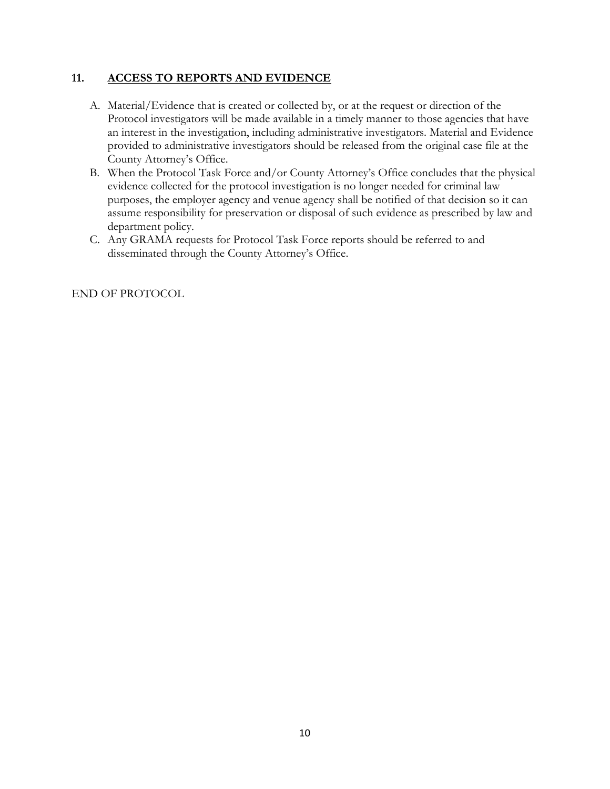#### **11. ACCESS TO REPORTS AND EVIDENCE**

- A. Material/Evidence that is created or collected by, or at the request or direction of the Protocol investigators will be made available in a timely manner to those agencies that have an interest in the investigation, including administrative investigators. Material and Evidence provided to administrative investigators should be released from the original case file at the County Attorney's Office.
- B. When the Protocol Task Force and/or County Attorney's Office concludes that the physical evidence collected for the protocol investigation is no longer needed for criminal law purposes, the employer agency and venue agency shall be notified of that decision so it can assume responsibility for preservation or disposal of such evidence as prescribed by law and department policy.
- C. Any GRAMA requests for Protocol Task Force reports should be referred to and disseminated through the County Attorney's Office.

END OF PROTOCOL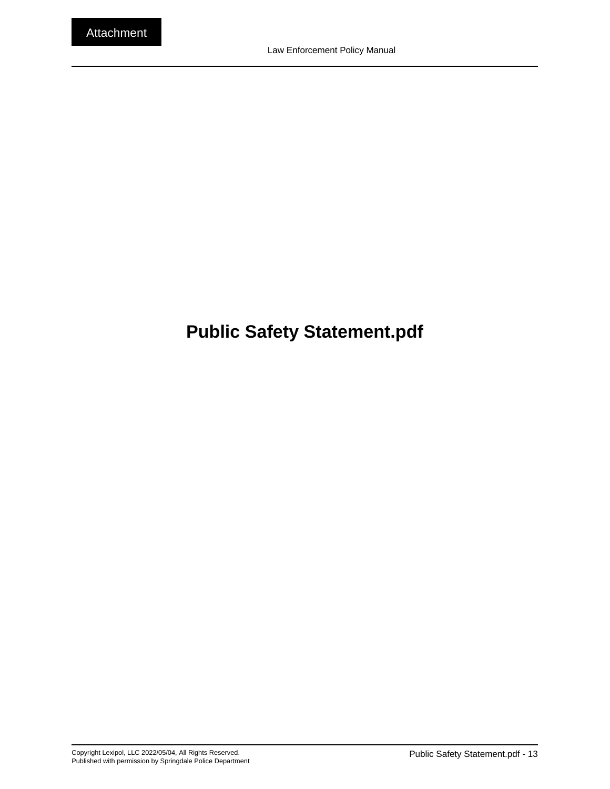# <span id="page-27-0"></span>**Public Safety Statement.pdf**